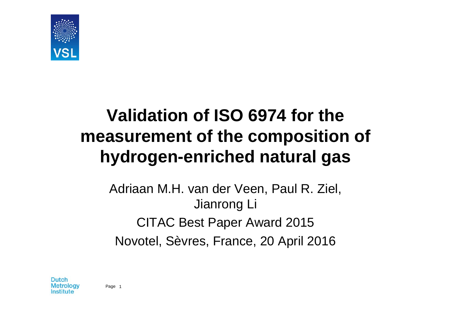

## **Validation of ISO 6974 for the measurement of the composition of hydrogen-enriched natural gas**

Adriaan M.H. van der Veen, Paul R. Ziel, Jianrong Li CITAC Best Paper Award 2015 Novotel, Sèvres, France, 20 April 2016

Dutch Metroloav netitute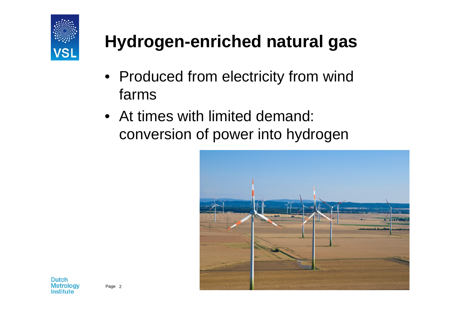

# **Hydrogen-enriched natural gas**

- Produced from electricity from wind farms
- At times with limited demand: conversion of power into hydrogen

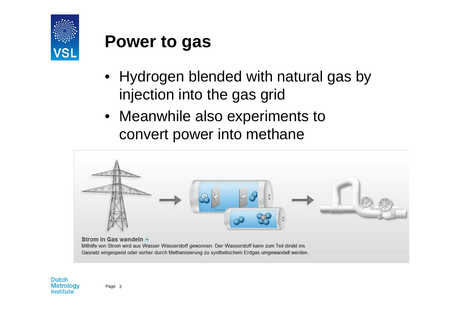

### **Power to gas**

- Hydrogen blended with natural gas by injection into the gas grid
- Meanwhile also experiments to convert power into methane



Mithilfe von Strom wird aus Wasser Wasserstoff gewonnen. Der Wasserstoff kann zum Teil direkt ins Gasnetz eingespeist oder vorher durch Methanisierung zu synthetischem Erdgas umgewandelt werden.

**Dutch** Metrology Institute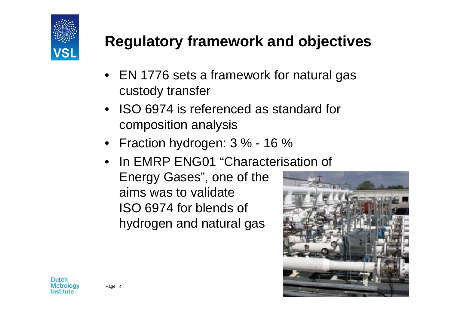

#### **Regulatory framework and objectives**

- EN 1776 sets a framework for natural gas custody transfer
- ISO 6974 is referenced as standard for composition analysis
- Fraction hydrogen: 3 % 16 %
- In EMRP ENG01 "Characterisation of Energy Gases", one of the aims was to validateISO 6974 for blends of hydrogen and natural gas

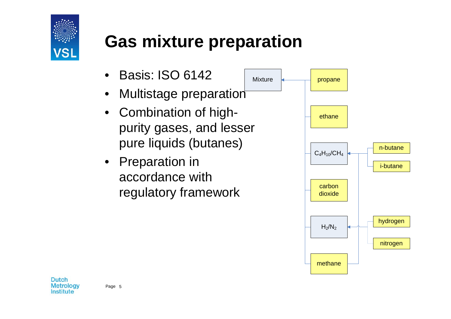

## **Gas mixture preparation**

Mixture

- $\bullet$ Basis: ISO 6142
- •Multistage preparation
- Combination of highpurity gases, and lesser pure liquids (butanes)
- Preparation in accordance with regulatory framework



Dutch **Metrology** Institute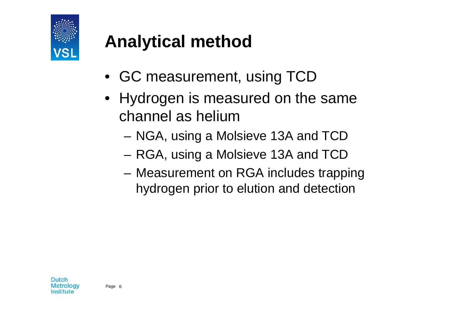

# **Analytical method**

- GC measurement, using TCD
- Hydrogen is measured on the same channel as helium
	- NGA, using a Molsieve 13A and TCD
	- RGA, using a Molsieve 13A and TCD
	- Measurement on RGA includes trapping hydrogen prior to elution and detection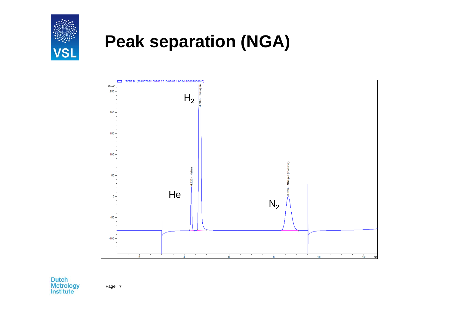

### **Peak separation (NGA)**



Dutch<br>Metrology<br>Institute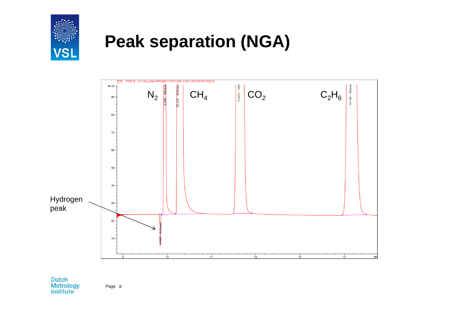

### **Peak separation (NGA)**



**Dutch** Metrology<br>Institute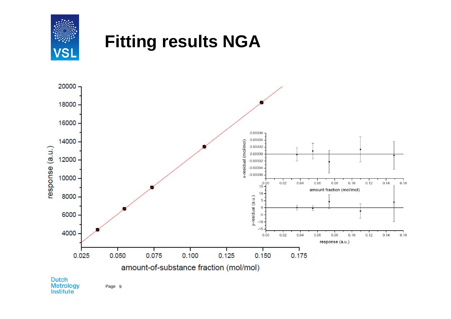

#### **Fitting results NGA**

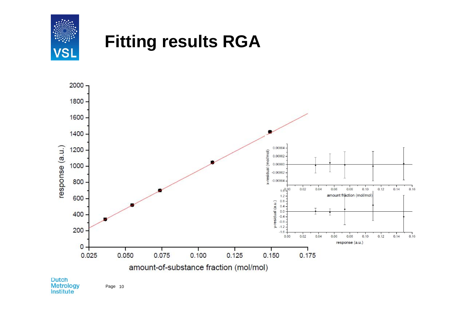





Dutch<br>Metrology<br>Institute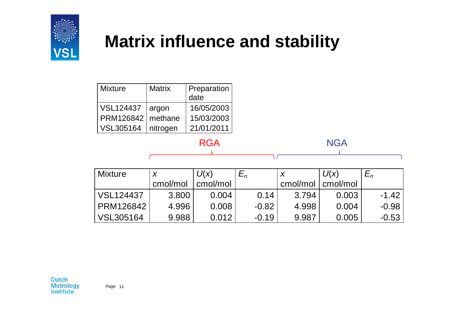

### **Matrix influence and stability**